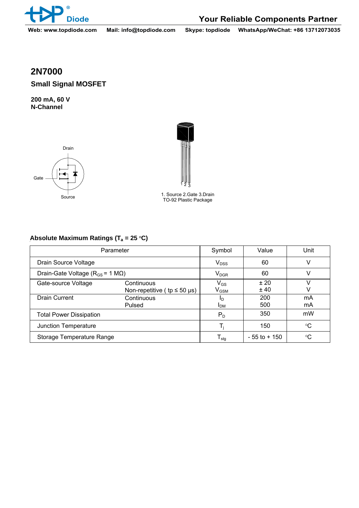

**Diode Your Reliable Components Partner**

**Web: www.topdiode.com Mail: info@topdiode.com Skype: topdiode WhatsApp/WeChat: +86 13712073035**

## **2N7000**

**Small Signal MOSFET** 

**200 mA, 60 V N-Channel** 





1. Source 2.Gate 3.Drain Source<br>TO-92 Plastic Package

## Absolute Maximum Ratings (T<sub>a</sub> = 25 °C)

| Parameter                                      |                                      | Symbol                      | Value           | Unit            |
|------------------------------------------------|--------------------------------------|-----------------------------|-----------------|-----------------|
| Drain Source Voltage                           |                                      | $V_{DSS}$                   | 60              | v               |
| Drain-Gate Voltage ( $R_{GS}$ = 1 M $\Omega$ ) |                                      | $\mathsf{V}_{\mathsf{DGR}}$ | 60              |                 |
| Gate-source Voltage                            | Continuous                           | $V_{GS}$                    | ±20             |                 |
|                                                | Non-repetitive ( $tp \le 50 \mu s$ ) | $\mathsf{V}_{\mathsf{GSM}}$ | ±40             |                 |
| <b>Drain Current</b>                           | Continuous                           | חו                          | 200             | mA              |
|                                                | Pulsed                               | <b>I</b> <sub>DM</sub>      | 500             | mA              |
| <b>Total Power Dissipation</b>                 |                                      | $P_D$                       | 350             | mW              |
| Junction Temperature                           |                                      |                             | 150             | $\rm ^{\circ}C$ |
| Storage Temperature Range                      |                                      | ${\mathsf T}_{\text{stg}}$  | $-55$ to $+150$ | $\rm ^{\circ}C$ |